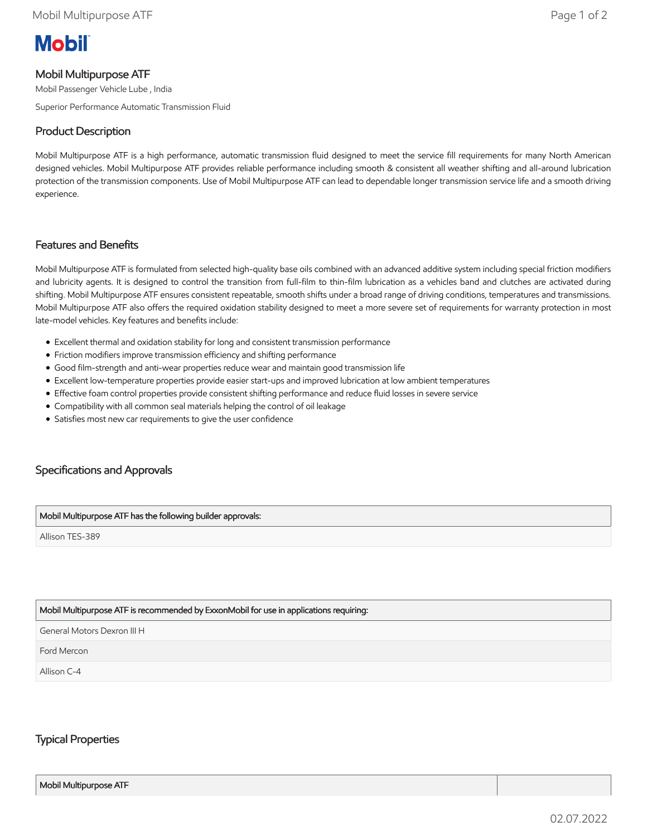# **Mobil**

## Mobil Multipurpose ATF

Mobil Passenger Vehicle Lube , India

Superior Performance Automatic Transmission Fluid

## Product Description

Mobil Multipurpose ATF is a high performance, automatic transmission fluid designed to meet the service fill requirements for many North American designed vehicles. Mobil Multipurpose ATF provides reliable performance including smooth & consistent all weather shifting and all-around lubrication protection of the transmission components. Use of Mobil Multipurpose ATF can lead to dependable longer transmission service life and a smooth driving experience.

#### Features and Benefits

Mobil Multipurpose ATF is formulated from selected high-quality base oils combined with an advanced additive system including special friction modifiers and lubricity agents. It is designed to control the transition from full-film to thin-film lubrication as a vehicles band and clutches are activated during shifting. Mobil Multipurpose ATF ensures consistent repeatable, smooth shifts under a broad range of driving conditions, temperatures and transmissions. Mobil Multipurpose ATF also offers the required oxidation stability designed to meet a more severe set of requirements for warranty protection in most late-model vehicles. Key features and benefits include:

- Excellent thermal and oxidation stability for long and consistent transmission performance
- Friction modifiers improve transmission efficiency and shifting performance
- Good film-strength and anti-wear properties reduce wear and maintain good transmission life
- Excellent low-temperature properties provide easier start-ups and improved lubrication at low ambient temperatures
- Effective foam control properties provide consistent shifting performance and reduce fluid losses in severe service
- Compatibility with all common seal materials helping the control of oil leakage
- Satisfies most new car requirements to give the user confidence

# Specifications and Approvals

#### Mobil Multipurpose ATF has the following builder approvals:

Allison TES-389

#### Mobil Multipurpose ATF is recommended by ExxonMobil for use in applications requiring:

General Motors Dexron III H

Ford Mercon

Allison C-4

### Typical Properties